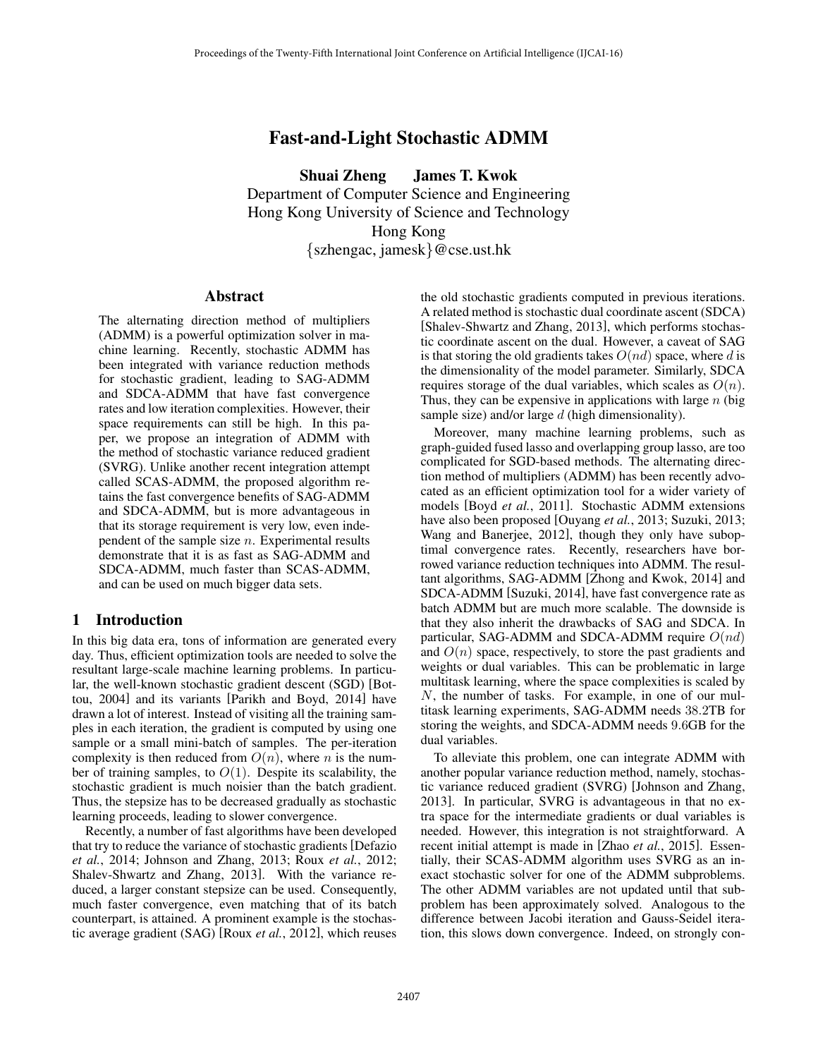# Fast-and-Light Stochastic ADMM

Shuai Zheng James T. Kwok Department of Computer Science and Engineering Hong Kong University of Science and Technology Hong Kong *{*szhengac, jamesk*}*@cse.ust.hk

### Abstract

The alternating direction method of multipliers (ADMM) is a powerful optimization solver in machine learning. Recently, stochastic ADMM has been integrated with variance reduction methods for stochastic gradient, leading to SAG-ADMM and SDCA-ADMM that have fast convergence rates and low iteration complexities. However, their space requirements can still be high. In this paper, we propose an integration of ADMM with the method of stochastic variance reduced gradient (SVRG). Unlike another recent integration attempt called SCAS-ADMM, the proposed algorithm retains the fast convergence benefits of SAG-ADMM and SDCA-ADMM, but is more advantageous in that its storage requirement is very low, even independent of the sample size *n*. Experimental results demonstrate that it is as fast as SAG-ADMM and SDCA-ADMM, much faster than SCAS-ADMM, and can be used on much bigger data sets.

# 1 Introduction

In this big data era, tons of information are generated every day. Thus, efficient optimization tools are needed to solve the resultant large-scale machine learning problems. In particular, the well-known stochastic gradient descent (SGD) [Bottou, 2004] and its variants [Parikh and Boyd, 2014] have drawn a lot of interest. Instead of visiting all the training samples in each iteration, the gradient is computed by using one sample or a small mini-batch of samples. The per-iteration complexity is then reduced from  $O(n)$ , where *n* is the number of training samples, to  $O(1)$ . Despite its scalability, the stochastic gradient is much noisier than the batch gradient. Thus, the stepsize has to be decreased gradually as stochastic learning proceeds, leading to slower convergence.

Recently, a number of fast algorithms have been developed that try to reduce the variance of stochastic gradients [Defazio *et al.*, 2014; Johnson and Zhang, 2013; Roux *et al.*, 2012; Shalev-Shwartz and Zhang, 2013]. With the variance reduced, a larger constant stepsize can be used. Consequently, much faster convergence, even matching that of its batch counterpart, is attained. A prominent example is the stochastic average gradient (SAG) [Roux *et al.*, 2012], which reuses the old stochastic gradients computed in previous iterations. A related method is stochastic dual coordinate ascent (SDCA) [Shalev-Shwartz and Zhang, 2013], which performs stochastic coordinate ascent on the dual. However, a caveat of SAG is that storing the old gradients takes  $O(nd)$  space, where *d* is the dimensionality of the model parameter. Similarly, SDCA requires storage of the dual variables, which scales as *O*(*n*). Thus, they can be expensive in applications with large *n* (big sample size) and/or large *d* (high dimensionality).

Moreover, many machine learning problems, such as graph-guided fused lasso and overlapping group lasso, are too complicated for SGD-based methods. The alternating direction method of multipliers (ADMM) has been recently advocated as an efficient optimization tool for a wider variety of models [Boyd *et al.*, 2011]. Stochastic ADMM extensions have also been proposed [Ouyang *et al.*, 2013; Suzuki, 2013; Wang and Banerjee, 2012], though they only have suboptimal convergence rates. Recently, researchers have borrowed variance reduction techniques into ADMM. The resultant algorithms, SAG-ADMM [Zhong and Kwok, 2014] and SDCA-ADMM [Suzuki, 2014], have fast convergence rate as batch ADMM but are much more scalable. The downside is that they also inherit the drawbacks of SAG and SDCA. In particular, SAG-ADMM and SDCA-ADMM require *O*(*nd*) and  $O(n)$  space, respectively, to store the past gradients and weights or dual variables. This can be problematic in large multitask learning, where the space complexities is scaled by *N*, the number of tasks. For example, in one of our multitask learning experiments, SAG-ADMM needs 38*.*2TB for storing the weights, and SDCA-ADMM needs 9*.*6GB for the dual variables.

To alleviate this problem, one can integrate ADMM with another popular variance reduction method, namely, stochastic variance reduced gradient (SVRG) [Johnson and Zhang, 2013]. In particular, SVRG is advantageous in that no extra space for the intermediate gradients or dual variables is needed. However, this integration is not straightforward. A recent initial attempt is made in [Zhao *et al.*, 2015]. Essentially, their SCAS-ADMM algorithm uses SVRG as an inexact stochastic solver for one of the ADMM subproblems. The other ADMM variables are not updated until that subproblem has been approximately solved. Analogous to the difference between Jacobi iteration and Gauss-Seidel iteration, this slows down convergence. Indeed, on strongly con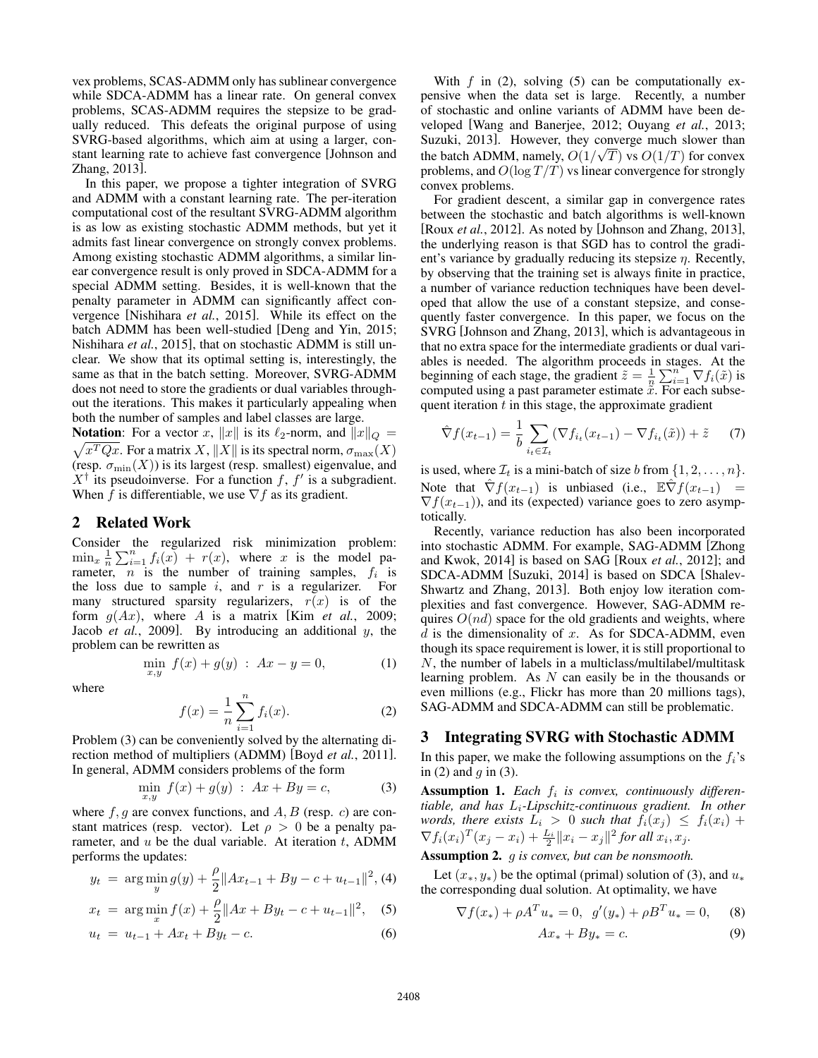vex problems, SCAS-ADMM only has sublinear convergence while SDCA-ADMM has a linear rate. On general convex problems, SCAS-ADMM requires the stepsize to be gradually reduced. This defeats the original purpose of using SVRG-based algorithms, which aim at using a larger, constant learning rate to achieve fast convergence [Johnson and Zhang, 2013].

In this paper, we propose a tighter integration of SVRG and ADMM with a constant learning rate. The per-iteration computational cost of the resultant SVRG-ADMM algorithm is as low as existing stochastic ADMM methods, but yet it admits fast linear convergence on strongly convex problems. Among existing stochastic ADMM algorithms, a similar linear convergence result is only proved in SDCA-ADMM for a special ADMM setting. Besides, it is well-known that the penalty parameter in ADMM can significantly affect convergence [Nishihara *et al.*, 2015]. While its effect on the batch ADMM has been well-studied [Deng and Yin, 2015; Nishihara *et al.*, 2015], that on stochastic ADMM is still unclear. We show that its optimal setting is, interestingly, the same as that in the batch setting. Moreover, SVRG-ADMM does not need to store the gradients or dual variables throughout the iterations. This makes it particularly appealing when both the number of samples and label classes are large.

**Notation**: For a vector *x*,  $||x||$  is its  $\ell_2$ -norm, and  $||x||_Q =$  $\sqrt{x^TQx}$ . For a matrix *X*,  $||X||$  is its spectral norm,  $\sigma_{\max}(X)$ (resp.  $\sigma_{\min}(X)$ ) is its largest (resp. smallest) eigenvalue, and  $X^{\dagger}$  its pseudoinverse. For a function *f*, *f*<sup> $\prime$ </sup> is a subgradient. When  $f$  is differentiable, we use  $\nabla f$  as its gradient.

# 2 Related Work

Consider the regularized risk minimization problem:  $\min_x \frac{1}{n} \sum_{i=1}^n f_i(x) + r(x)$ , where *x* is the model parameter,  $\overline{n}$  is the number of training samples,  $f_i$  is the loss due to sample  $i$ , and  $r$  is a regularizer. For many structured sparsity regularizers,  $r(x)$  is of the form  $g(Ax)$ , where A is a matrix [Kim *et al.*, 2009; Jacob *et al.*, 2009]. By introducing an additional *y*, the problem can be rewritten as

$$
\min_{x,y} f(x) + g(y) : Ax - y = 0,\tag{1}
$$

where

$$
f(x) = \frac{1}{n} \sum_{i=1}^{n} f_i(x).
$$
 (2)

Problem (3) can be conveniently solved by the alternating direction method of multipliers (ADMM) [Boyd *et al.*, 2011]. In general, ADMM considers problems of the form

$$
\min_{x,y} f(x) + g(y) : Ax + By = c,\tag{3}
$$

where  $f, g$  are convex functions, and  $A, B$  (resp.  $c$ ) are constant matrices (resp. vector). Let  $\rho > 0$  be a penalty parameter, and *u* be the dual variable. At iteration *t*, ADMM performs the updates:

$$
y_t = \arg\min_{y} g(y) + \frac{\rho}{2} \|Ax_{t-1} + By - c + u_{t-1}\|^2, \text{(4)}
$$

$$
x_t = \arg\min_x f(x) + \frac{\rho}{2} \|Ax + By_t - c + u_{t-1}\|^2, \quad (5)
$$

$$
u_t = u_{t-1} + Ax_t + By_t - c.
$$
 (6)

With  $f$  in (2), solving (5) can be computationally expensive when the data set is large. Recently, a number of stochastic and online variants of ADMM have been developed [Wang and Banerjee, 2012; Ouyang *et al.*, 2013; Suzuki, 2013]. However, they converge much slower than the batch ADMM, namely,  $O(1/\sqrt{T})$  vs  $O(1/T)$  for convex problems, and  $O(\log T/T)$  vs linear convergence for strongly convex problems.

For gradient descent, a similar gap in convergence rates between the stochastic and batch algorithms is well-known [Roux *et al.*, 2012]. As noted by [Johnson and Zhang, 2013], the underlying reason is that SGD has to control the gradient's variance by gradually reducing its stepsize  $\eta$ . Recently, by observing that the training set is always finite in practice, a number of variance reduction techniques have been developed that allow the use of a constant stepsize, and consequently faster convergence. In this paper, we focus on the SVRG [Johnson and Zhang, 2013], which is advantageous in that no extra space for the intermediate gradients or dual variables is needed. The algorithm proceeds in stages. At the beginning of each stage, the gradient  $\tilde{z} = \frac{1}{n} \sum_{i=1}^{n} \nabla f_i(\tilde{x})$  is computed using a past parameter estimate  $\tilde{x}$ . For each subsequent iteration *t* in this stage, the approximate gradient

$$
\hat{\nabla} f(x_{t-1}) = \frac{1}{b} \sum_{i_t \in \mathcal{I}_t} (\nabla f_{i_t}(x_{t-1}) - \nabla f_{i_t}(\tilde{x})) + \tilde{z} \tag{7}
$$

is used, where  $\mathcal{I}_t$  is a mini-batch of size *b* from  $\{1, 2, \ldots, n\}$ . Note that  $\hat{\nabla} f(x_{t-1})$  is unbiased (i.e.,  $\mathbb{E} \hat{\nabla} f(x_{t-1}) =$  $\nabla f(x_{t-1})$ , and its (expected) variance goes to zero asymptotically.

Recently, variance reduction has also been incorporated into stochastic ADMM. For example, SAG-ADMM [Zhong and Kwok, 2014] is based on SAG [Roux *et al.*, 2012]; and SDCA-ADMM [Suzuki, 2014] is based on SDCA [Shalev-Shwartz and Zhang, 2013]. Both enjoy low iteration complexities and fast convergence. However, SAG-ADMM requires *O*(*nd*) space for the old gradients and weights, where *d* is the dimensionality of *x*. As for SDCA-ADMM, even though its space requirement is lower, it is still proportional to *N*, the number of labels in a multiclass/multilabel/multitask learning problem. As *N* can easily be in the thousands or even millions (e.g., Flickr has more than 20 millions tags), SAG-ADMM and SDCA-ADMM can still be problematic.

## 3 Integrating SVRG with Stochastic ADMM

In this paper, we make the following assumptions on the  $f_i$ 's in (2) and *g* in (3).

Assumption 1. *Each f<sup>i</sup> is convex, continuously differentiable, and has Li-Lipschitz-continuous gradient. In other words, there exists*  $L_i > 0$  *such that*  $f_i(x_j) \leq f_i(x_i) +$  $\nabla f_i(x_i)^T (x_j - x_i) + \frac{L_i}{2} ||x_i - x_j||^2$  for all  $x_i, x_j$ .

Assumption 2. *g is convex, but can be nonsmooth.*

Let  $(x_*, y_*)$  be the optimal (primal) solution of (3), and  $u_*$ the corresponding dual solution. At optimality, we have

$$
\nabla f(x_*) + \rho A^T u_* = 0, \quad g'(y_*) + \rho B^T u_* = 0, \quad (8)
$$

$$
Ax_* + By_* = c. \quad (9)
$$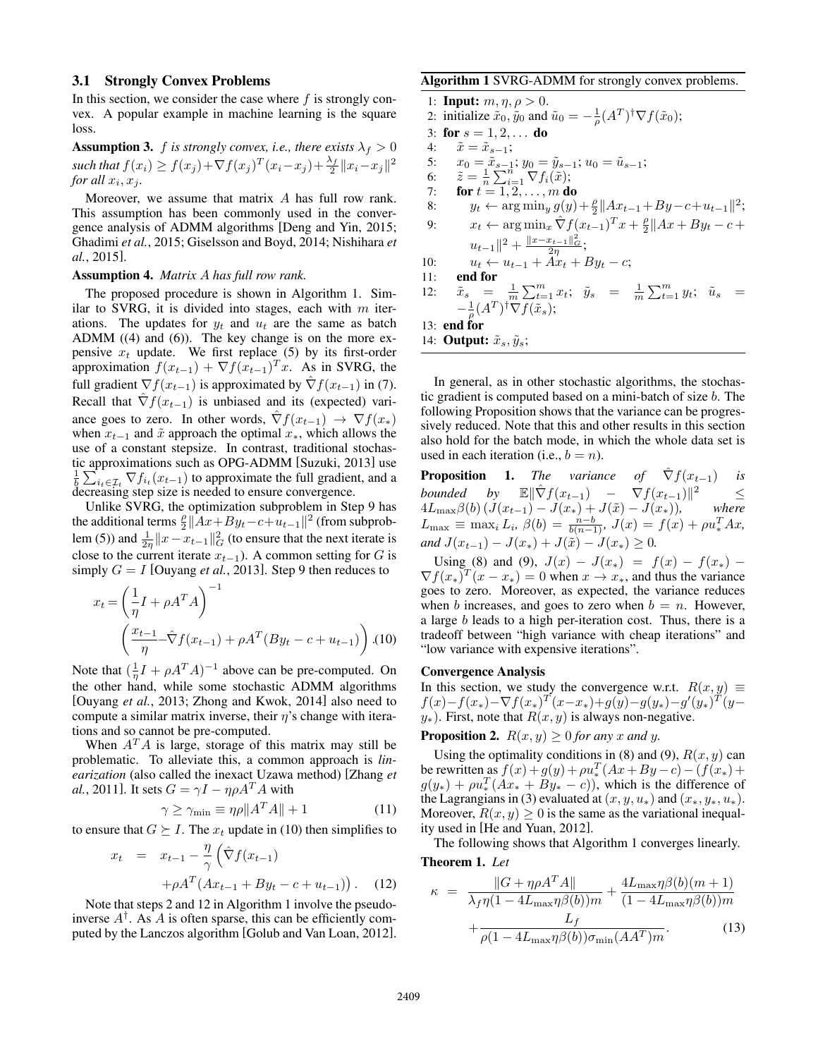#### 3.1 Strongly Convex Problems

In this section, we consider the case where *f* is strongly convex. A popular example in machine learning is the square loss.

**Assumption 3.** *f is strongly convex, i.e., there exists*  $\lambda_f > 0$  $\frac{f(x_i)}{2} \geq f(x_j) + \nabla f(x_j)^T (x_i - x_j) + \frac{\lambda_f}{2} ||x_i - x_j||^2$ *for all*  $x_i, x_j$ .

Moreover, we assume that matrix *A* has full row rank. This assumption has been commonly used in the convergence analysis of ADMM algorithms [Deng and Yin, 2015; Ghadimi *et al.*, 2015; Giselsson and Boyd, 2014; Nishihara *et al.*, 2015].

#### Assumption 4. *Matrix A has full row rank.*

The proposed procedure is shown in Algorithm 1. Similar to SVRG, it is divided into stages, each with *m* iterations. The updates for  $y_t$  and  $u_t$  are the same as batch ADMM ((4) and (6)). The key change is on the more expensive  $x_t$  update. We first replace (5) by its first-order approximation  $f(x_{t-1}) + \nabla f(x_{t-1})^T x$ . As in SVRG, the full gradient  $\nabla f(x_{t-1})$  is approximated by  $\hat{\nabla} f(x_{t-1})$  in (7). Recall that  $\hat{\nabla} f(x_{t-1})$  is unbiased and its (expected) variance goes to zero. In other words,  $\nabla f(x_{t-1}) \rightarrow \nabla f(x_*)$ when  $x_{t-1}$  and  $\tilde{x}$  approach the optimal  $x_*$ , which allows the use of a constant stepsize. In contrast, traditional stochastic approximations such as OPG-ADMM [Suzuki, 2013] use  $\frac{1}{b} \sum_{i_t \in \mathcal{I}_t} \nabla f_{i_t}(x_{t-1})$  to approximate the full gradient, and a decreasing step size is needed to ensure convergence.

Unlike SVRG, the optimization subproblem in Step 9 has the additional terms  $\frac{\rho}{2} ||Ax + By_t - c + u_{t-1}||^2$  (from subproblem (5)) and  $\frac{1}{2\eta}||x - x_{t-1}||_G^2$  (to ensure that the next iterate is close to the current iterate  $x_{t-1}$ ). A common setting for *G* is simply  $G = I$  [Ouyang *et al.*, 2013]. Step 9 then reduces to

$$
x_t = \left(\frac{1}{\eta}I + \rho A^T A\right)^{-1}
$$

$$
\left(\frac{x_{t-1}}{\eta} - \hat{\nabla}f(x_{t-1}) + \rho A^T (By_t - c + u_{t-1})\right). (10)
$$

Note that  $(\frac{1}{\eta}I + \rho A^T A)^{-1}$  above can be pre-computed. On the other hand, while some stochastic ADMM algorithms [Ouyang *et al.*, 2013; Zhong and Kwok, 2014] also need to compute a similar matrix inverse, their  $\eta$ 's change with iterations and so cannot be pre-computed.

When  $A^T A$  is large, storage of this matrix may still be problematic. To alleviate this, a common approach is *linearization* (also called the inexact Uzawa method) [Zhang *et al.*, 2011]. It sets  $G = \gamma I - \eta \rho A^T A$  with

$$
\gamma \ge \gamma_{\min} \equiv \eta \rho \|A^T A\| + 1 \tag{11}
$$

to ensure that  $G \succeq I$ . The  $x_t$  update in (10) then simplifies to

$$
x_{t} = x_{t-1} - \frac{\eta}{\gamma} \left( \hat{\nabla} f(x_{t-1}) + \rho A^{T} (Ax_{t-1} + By_{t} - c + u_{t-1}) \right). \tag{12}
$$

Note that steps 2 and 12 in Algorithm 1 involve the pseudoinverse  $A^{\dagger}$ . As *A* is often sparse, this can be efficiently computed by the Lanczos algorithm [Golub and Van Loan, 2012].

#### Algorithm 1 SVRG-ADMM for strongly convex problems.

1: **Input:**  $m, \eta, \rho > 0$ . 2: initialize  $\tilde{x}_0$ ,  $\tilde{y}_0$  and  $\tilde{u}_0 = -\frac{1}{\rho}(A^T)^{\dagger} \nabla f(\tilde{x}_0)$ ; 3: for  $s = 1, 2, \ldots$  do 4:  $\tilde{x} = \tilde{x}_{s-1};$ <br>5:  $x_0 = \tilde{x}_{s-1}$ 5:  $x_0 = \tilde{x}_{s-1}; y_0 = \tilde{y}_{s-1}; u_0 = \tilde{u}_{s-1};$ 6:  $\tilde{z} = \frac{1}{n} \sum_{i=1}^{n} \nabla f_i(\tilde{x});$ 7: **for**  $t = 1, 2, ..., m$  do 8:  $y_t \leftarrow \arg \min_y g(y) + \frac{\rho}{2} ||Ax_{t-1} + By - c + u_{t-1}||^2;$ 9:  $x_t \leftarrow \arg \min_x \hat{\nabla} f(x_{t-1})^T x + \frac{\rho}{2} \|Ax + By_t - c +$  $u_{t-1}$ ||<sup>2</sup> +  $\frac{||x-x_{t-1}||^2_G}{2\eta};$ 10:  $u_t \leftarrow u_{t-1} + Ax_t + By_t - c;$ 11: end for 12:  $\tilde{x}_s = \frac{1}{m} \sum_{t=1}^m x_t; \quad \tilde{y}_s = \frac{1}{m} \sum_{t=1}^m y_t; \quad \tilde{u}_s =$  $-\frac{1}{\rho}(A^T)^\dagger \nabla f(\tilde{x}_s);$ 13: end for 14: **Output:**  $\tilde{x}_s, \tilde{y}_s$ ;

In general, as in other stochastic algorithms, the stochastic gradient is computed based on a mini-batch of size *b*. The following Proposition shows that the variance can be progressively reduced. Note that this and other results in this section also hold for the batch mode, in which the whole data set is used in each iteration (i.e.,  $b = n$ ).

**Proposition 1.** *The variance of*  $\hat{\nabla} f(x_{t-1})$  *is bounded by*  $\mathbb{E} \|\hat{\nabla} f(x_{t-1}) - \nabla f(x_{t-1})\|^2 \le$  $4L_{\max}\beta(b) (J(x_{t-1}) - J(x_*) + J(\tilde{x}) - J(x_*)),$  where  $L_{\text{max}} \equiv \max_i L_i, \ \beta(b) = \frac{n-b}{b(n-1)}, \ J(x) = f(x) + \rho u_*^T A x,$ *and*  $J(x_{t-1}) - J(x_*) + J(\tilde{x}) - J(x_*) \geq 0$ .

Using (8) and (9),  $J(x) - J(x_*) = f(x) - f(x_*)$  $\nabla f(x_*)^T (x - x_*) = 0$  when  $x \to x_*$ , and thus the variance goes to zero. Moreover, as expected, the variance reduces when *b* increases, and goes to zero when  $b = n$ . However, a large *b* leads to a high per-iteration cost. Thus, there is a tradeoff between "high variance with cheap iterations" and "low variance with expensive iterations".

#### Convergence Analysis

In this section, we study the convergence w.r.t.  $R(x, y) \equiv$  $f(x)-f(x_{*})-\nabla f(x_{*})^{T}(x-x_{*})+g(y)-g(y_{*})-g'(y_{*})^{T}(y-x_{*})$  $y_$ ). First, note that  $R(x, y)$  is always non-negative.

**Proposition 2.**  $R(x, y) > 0$  for any *x* and *y*.

Using the optimality conditions in (8) and (9),  $R(x, y)$  can be rewritten as  $f(x) + g(y) + \rho u_*^T (Ax + By - c) - (f(x_*) + f(x_*) + f(x_*)$  $g(y_*) + \rho u_*^T (Ax_* + By_* - c)$ , which is the difference of the Lagrangians in (3) evaluated at  $(x, y, u_*)$  and  $(x_*, y_*, u_*)$ . Moreover,  $R(x, y) \geq 0$  is the same as the variational inequality used in [He and Yuan, 2012].

The following shows that Algorithm 1 converges linearly. Theorem 1. *Let*

$$
\kappa = \frac{\|G + \eta \rho A^T A\|}{\lambda_f \eta (1 - 4L_{\max} \eta \beta(b))m} + \frac{4L_{\max} \eta \beta(b)(m+1)}{(1 - 4L_{\max} \eta \beta(b))m} + \frac{L_f}{\rho (1 - 4L_{\max} \eta \beta(b)) \sigma_{\min}(AA^T)m}.
$$
\n(13)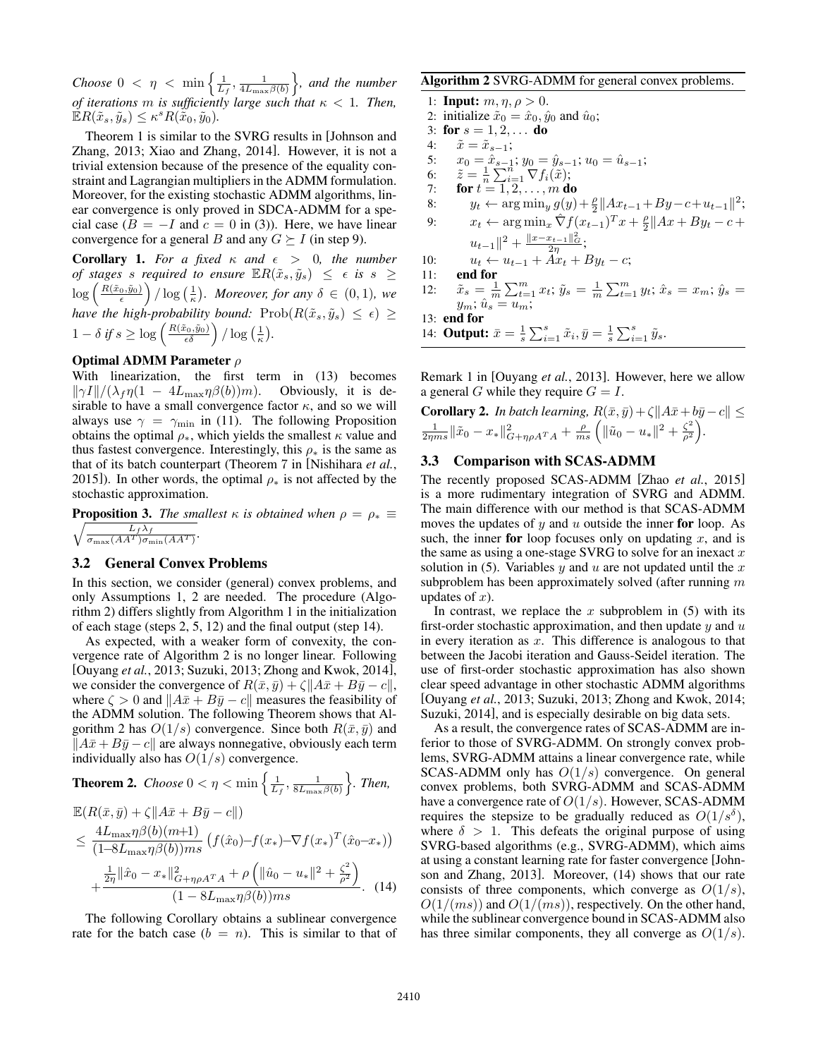*Choose*  $0 < \eta < \min\left\{\frac{1}{L_f}, \frac{1}{4L_{\max}\beta(b)}\right\}$ o *, and the number of iterations m is sufficiently large such that*  $\kappa < 1$ *. Then,*  $\mathbb{E}R(\tilde{x}_s, \tilde{y}_s) \leq \kappa^s R(\tilde{x}_0, \tilde{y}_0).$ 

Theorem 1 is similar to the SVRG results in [Johnson and Zhang, 2013; Xiao and Zhang, 2014]. However, it is not a trivial extension because of the presence of the equality constraint and Lagrangian multipliers in the ADMM formulation. Moreover, for the existing stochastic ADMM algorithms, linear convergence is only proved in SDCA-ADMM for a special case  $(B = -I$  and  $c = 0$  in (3)). Here, we have linear convergence for a general *B* and any  $G \succeq I$  (in step 9).

**Corollary 1.** For a fixed  $\kappa$  and  $\epsilon > 0$ , the number *of stages s required to ensure*  $\mathbb{E}R(\tilde{x}_s, \tilde{y}_s) \leq \epsilon$  *is*  $s \geq$  $\log\left(\frac{R(\tilde{x}_0,\tilde{y}_0)}{\epsilon}\right)$  $\int$  / log  $\left(\frac{1}{\kappa}\right)$ *. Moreover, for any*  $\delta \in (0,1)$ *, we have the high-probability bound:*  $\text{Prob}(R(\tilde{x}_s, \tilde{y}_s) \leq \epsilon) \geq$  $1 - \delta \text{ if } s \geq \log \left( \frac{R(\tilde{x}_0, \tilde{y}_0)}{\epsilon \delta} \right) / \log \left( \frac{1}{\kappa} \right).$ 

# Optimal ADMM Parameter  $\rho$

With linearization, the first term in (13) becomes  $\|\gamma I\|/(\lambda_f \eta (1 - 4L_{\max} \eta \beta(b))m)$ . Obviously, it is desirable to have a small convergence factor  $\kappa$ , and so we will always use  $\gamma = \gamma_{\min}$  in (11). The following Proposition obtains the optimal  $\rho_*,$  which yields the smallest  $\kappa$  value and thus fastest convergence. Interestingly, this  $\rho_*$  is the same as that of its batch counterpart (Theorem 7 in [Nishihara *et al.*, 2015]). In other words, the optimal  $\rho_*$  is not affected by the stochastic approximation.

**Proposition 3.** The smallest  $\kappa$  is obtained when  $\rho = \rho_* \equiv$  $\sqrt{\frac{L_f \lambda_f}{\sigma_{\max}(AA^T) \sigma_{\min}(AA^T)}}$ .

#### 3.2 General Convex Problems

In this section, we consider (general) convex problems, and only Assumptions 1, 2 are needed. The procedure (Algorithm 2) differs slightly from Algorithm 1 in the initialization of each stage (steps 2, 5, 12) and the final output (step 14).

As expected, with a weaker form of convexity, the convergence rate of Algorithm 2 is no longer linear. Following [Ouyang *et al.*, 2013; Suzuki, 2013; Zhong and Kwok, 2014], we consider the convergence of  $R(\bar{x}, \bar{y}) + \zeta ||A\bar{x} + B\bar{y} - c||$ , where  $\zeta > 0$  and  $||A\bar{x} + B\bar{y} - c||$  measures the feasibility of the ADMM solution. The following Theorem shows that Algorithm 2 has  $O(1/s)$  convergence. Since both  $R(\bar{x}, \bar{y})$  and  $||A\bar{x} + B\bar{y} - c||$  are always nonnegative, obviously each term individually also has *O*(1*/s*) convergence.

**Theorem 2.** Choose 
$$
0 < \eta < \min\left\{\frac{1}{L_f}, \frac{1}{8L_{\max}\beta(b)}\right\}
$$
. Then,

$$
\mathbb{E}(R(\bar{x}, \bar{y}) + \zeta || A\bar{x} + B\bar{y} - c ||)
$$
\n
$$
\leq \frac{4L_{\max}\eta\beta(b)(m+1)}{(1 - 8L_{\max}\eta\beta(b))ms} \left( f(\hat{x}_0) - f(x_*) - \nabla f(x_*)^T(\hat{x}_0 - x_*) \right)
$$
\n
$$
+ \frac{\frac{1}{2\eta} ||\hat{x}_0 - x_*||_{G + \eta\rho A^T A}^2 + \rho \left( ||\hat{u}_0 - u_*||^2 + \frac{\zeta^2}{\rho^2} \right)}{(1 - 8L_{\max}\eta\beta(b))ms} . \quad (14)
$$

The following Corollary obtains a sublinear convergence rate for the batch case  $(b = n)$ . This is similar to that of

#### Algorithm 2 SVRG-ADMM for general convex problems.

1: **Input:**  $m, \eta, \rho > 0$ . 2: initialize  $\tilde{x}_0 = \hat{x}_0$ ,  $\hat{y}_0$  and  $\hat{u}_0$ ; 3: for  $s = 1, 2, \ldots$  do 4:  $\tilde{x} = \tilde{x}_{s-1};$ <br>5:  $x_0 = \hat{x}_{s-1}$ 5:  $x_0 = \hat{x}_{s-1}; y_0 = \hat{y}_{s-1}; u_0 = \hat{u}_{s-1};$ 6:  $\tilde{z} = \frac{1}{n} \sum_{i=1}^{n} \nabla f_i(\tilde{x});$ 7: **for**  $t = 1, 2, ..., m$  do 8:  $y_t \leftarrow \arg \min_y g(y) + \frac{\rho}{2} ||Ax_{t-1} + By - c + u_{t-1}||^2;$ 9:  $x_t \leftarrow \arg \min_x \hat{\nabla} f(x_{t-1})^T x + \frac{\rho}{2} ||Ax + By_t - c + \frac{\rho}{2} ||Ax + By_t - c + \frac{\rho}{2} ||Ax + By_t - c + \frac{\rho}{2} ||Ax + By_t - c + \frac{\rho}{2} ||Ax + By_t - c + \frac{\rho}{2} ||Ax + By_t - c + \frac{\rho}{2} ||Ax + By_t - c + \frac{\rho}{2} ||Ax + By_t - c + \frac{\rho}{2} ||Ax + By_t - c + \frac{\rho}{2} ||Ax + By_t - c + \frac{\rho}{2} ||Ax + By_t - c + \frac{\rho}{2} ||Ax + By_t - c + \frac{\rho}{2} ||Ax$  $u_{t-1}$ ||<sup>2</sup> +  $\frac{||x-x_{t-1}||^2_G}{2\eta};$ 10:  $u_t \leftarrow u_{t-1} + Ax_t + By_t - c;$ 11: end for 12:  $\tilde{x}_s = \frac{1}{m} \sum_{t=1}^m x_t; \, \tilde{y}_s = \frac{1}{m} \sum_{t=1}^m y_t; \, \hat{x}_s = x_m; \, \hat{y}_s =$  $y_m$ ;  $\hat{u}_s = u_m$ ; 13: end for 14: **Output:**  $\bar{x} = \frac{1}{s} \sum_{i=1}^{s} \tilde{x}_i, \bar{y} = \frac{1}{s} \sum_{i=1}^{s} \tilde{y}_s$ .

Remark 1 in [Ouyang *et al.*, 2013]. However, here we allow a general *G* while they require  $G = I$ .

**Corollary 2.** In batch learning, 
$$
R(\bar{x}, \bar{y}) + \zeta ||A\bar{x} + b\bar{y} - c|| \le \frac{1}{2\eta ms} ||\tilde{x}_0 - x_*||^2_{G + \eta \rho A^T A} + \frac{\rho}{ms} (||\tilde{u}_0 - u_*||^2 + \frac{\zeta^2}{\rho^2}).
$$

# 3.3 Comparison with SCAS-ADMM

The recently proposed SCAS-ADMM [Zhao *et al.*, 2015] is a more rudimentary integration of SVRG and ADMM. The main difference with our method is that SCAS-ADMM moves the updates of *y* and *u* outside the inner for loop. As such, the inner for loop focuses only on updating *x*, and is the same as using a one-stage SVRG to solve for an inexact *x* solution in (5). Variables *y* and *u* are not updated until the *x* subproblem has been approximately solved (after running *m* updates of *x*).

In contrast, we replace the *x* subproblem in (5) with its first-order stochastic approximation, and then update *y* and *u* in every iteration as *x*. This difference is analogous to that between the Jacobi iteration and Gauss-Seidel iteration. The use of first-order stochastic approximation has also shown clear speed advantage in other stochastic ADMM algorithms [Ouyang *et al.*, 2013; Suzuki, 2013; Zhong and Kwok, 2014; Suzuki, 2014], and is especially desirable on big data sets.

As a result, the convergence rates of SCAS-ADMM are inferior to those of SVRG-ADMM. On strongly convex problems, SVRG-ADMM attains a linear convergence rate, while SCAS-ADMM only has *O*(1*/s*) convergence. On general convex problems, both SVRG-ADMM and SCAS-ADMM have a convergence rate of *O*(1*/s*). However, SCAS-ADMM requires the stepsize to be gradually reduced as  $O(1/s^{\delta})$ , where  $\delta > 1$ . This defeats the original purpose of using SVRG-based algorithms (e.g., SVRG-ADMM), which aims at using a constant learning rate for faster convergence [Johnson and Zhang, 2013]. Moreover, (14) shows that our rate consists of three components, which converge as *O*(1*/s*),  $O(1/(ms))$  and  $O(1/(ms))$ , respectively. On the other hand, while the sublinear convergence bound in SCAS-ADMM also has three similar components, they all converge as  $O(1/s)$ .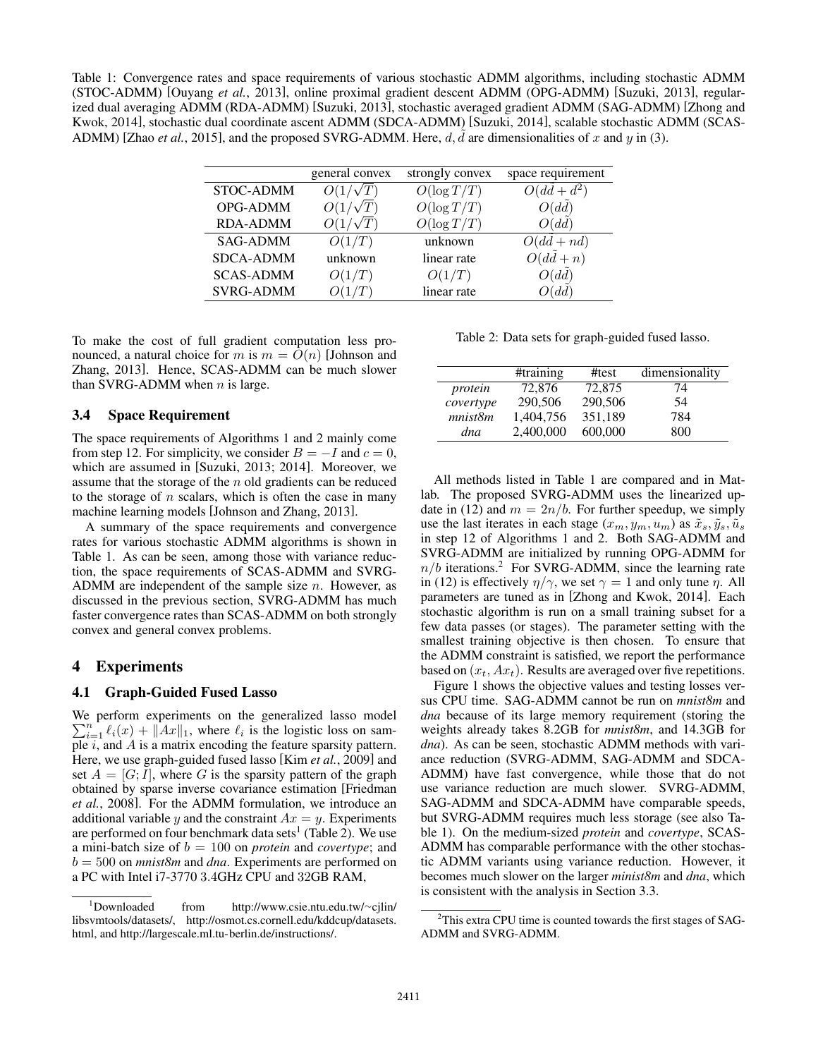Table 1: Convergence rates and space requirements of various stochastic ADMM algorithms, including stochastic ADMM (STOC-ADMM) [Ouyang *et al.*, 2013], online proximal gradient descent ADMM (OPG-ADMM) [Suzuki, 2013], regularized dual averaging ADMM (RDA-ADMM) [Suzuki, 2013], stochastic averaged gradient ADMM (SAG-ADMM) [Zhong and Kwok, 2014], stochastic dual coordinate ascent ADMM (SDCA-ADMM) [Suzuki, 2014], scalable stochastic ADMM (SCAS-ADMM) [Zhao *et al.*, 2015], and the proposed SVRG-ADMM. Here,  $d$ ,  $\tilde{d}$  are dimensionalities of x and y in (3).

|                  | general convex | strongly convex | space requirement |
|------------------|----------------|-----------------|-------------------|
| <b>STOC-ADMM</b> |                | $O(\log T/T)$   | $+ d^2$           |
| OPG-ADMM         |                | $O(\log T/T)$   | O(dd)             |
| <b>RDA-ADMM</b>  |                | $O(\log T/T)$   | O(dd)             |
| <b>SAG-ADMM</b>  | O(1/T)         | unknown         | $O(dd + nd)$      |
| <b>SDCA-ADMM</b> | unknown        | linear rate     | $0(dd+n)$         |
| <b>SCAS-ADMM</b> | O(1/T)         | O(1/T)          | O(dd)             |
| <b>SVRG-ADMM</b> |                | linear rate     | dd.               |

To make the cost of full gradient computation less pronounced, a natural choice for *m* is  $m = O(n)$  [Johnson and Zhang, 2013]. Hence, SCAS-ADMM can be much slower than SVRG-ADMM when *n* is large.

#### 3.4 Space Requirement

The space requirements of Algorithms 1 and 2 mainly come from step 12. For simplicity, we consider  $B = -I$  and  $c = 0$ , which are assumed in [Suzuki, 2013; 2014]. Moreover, we assume that the storage of the *n* old gradients can be reduced to the storage of *n* scalars, which is often the case in many machine learning models [Johnson and Zhang, 2013].

A summary of the space requirements and convergence rates for various stochastic ADMM algorithms is shown in Table 1. As can be seen, among those with variance reduction, the space requirements of SCAS-ADMM and SVRG-ADMM are independent of the sample size *n*. However, as discussed in the previous section, SVRG-ADMM has much faster convergence rates than SCAS-ADMM on both strongly convex and general convex problems.

# 4 Experiments

# 4.1 Graph-Guided Fused Lasso

We perform experiments on the generalized lasso model  $\sum_{i=1}^{n} \ell_i(x) + ||Ax||_1$ , where  $\ell_i$  is the logistic loss on sample *i*, and *A* is a matrix encoding the feature sparsity pattern. Here, we use graph-guided fused lasso [Kim *et al.*, 2009] and set  $A = [G; I]$ , where G is the sparsity pattern of the graph obtained by sparse inverse covariance estimation [Friedman *et al.*, 2008]. For the ADMM formulation, we introduce an additional variable *y* and the constraint  $Ax = y$ . Experiments are performed on four benchmark data sets<sup>1</sup> (Table 2). We use a mini-batch size of *b* = 100 on *protein* and *covertype*; and *b* = 500 on *mnist8m* and *dna*. Experiments are performed on a PC with Intel i7-3770 3*.*4GHz CPU and 32GB RAM,

Table 2: Data sets for graph-guided fused lasso.

|           | #training | #test   | dimensionality |
|-----------|-----------|---------|----------------|
| protein   | 72,876    | 72,875  | 74             |
| covertype | 290,506   | 290,506 | 54             |
| mnist8m   | 1,404,756 | 351.189 | 784            |
| dna       | 2,400,000 | 600,000 | 800            |

All methods listed in Table 1 are compared and in Matlab. The proposed SVRG-ADMM uses the linearized update in (12) and  $m = 2n/b$ . For further speedup, we simply use the last iterates in each stage  $(x_m, y_m, u_m)$  as  $\tilde{x}_s, \tilde{y}_s, \tilde{u}_s$ in step 12 of Algorithms 1 and 2. Both SAG-ADMM and SVRG-ADMM are initialized by running OPG-ADMM for  $n/b$  iterations.<sup>2</sup> For SVRG-ADMM, since the learning rate in (12) is effectively  $\eta/\gamma$ , we set  $\gamma = 1$  and only tune  $\eta$ . All parameters are tuned as in [Zhong and Kwok, 2014]. Each stochastic algorithm is run on a small training subset for a few data passes (or stages). The parameter setting with the smallest training objective is then chosen. To ensure that the ADMM constraint is satisfied, we report the performance based on  $(x_t, Ax_t)$ . Results are averaged over five repetitions.

Figure 1 shows the objective values and testing losses versus CPU time. SAG-ADMM cannot be run on *mnist8m* and *dna* because of its large memory requirement (storing the weights already takes 8.2GB for *mnist8m*, and 14.3GB for *dna*). As can be seen, stochastic ADMM methods with variance reduction (SVRG-ADMM, SAG-ADMM and SDCA-ADMM) have fast convergence, while those that do not use variance reduction are much slower. SVRG-ADMM, SAG-ADMM and SDCA-ADMM have comparable speeds, but SVRG-ADMM requires much less storage (see also Table 1). On the medium-sized *protein* and *covertype*, SCAS-ADMM has comparable performance with the other stochastic ADMM variants using variance reduction. However, it becomes much slower on the larger *minist8m* and *dna*, which is consistent with the analysis in Section 3.3.

<sup>&</sup>lt;sup>1</sup>Downloaded  $from$  http://www.csie.ntu.edu.tw/ $\sim$ cilin/ libsvmtools/datasets/, http://osmot.cs.cornell.edu/kddcup/datasets. html, and http://largescale.ml.tu-berlin.de/instructions/.

<sup>&</sup>lt;sup>2</sup>This extra CPU time is counted towards the first stages of SAG-ADMM and SVRG-ADMM.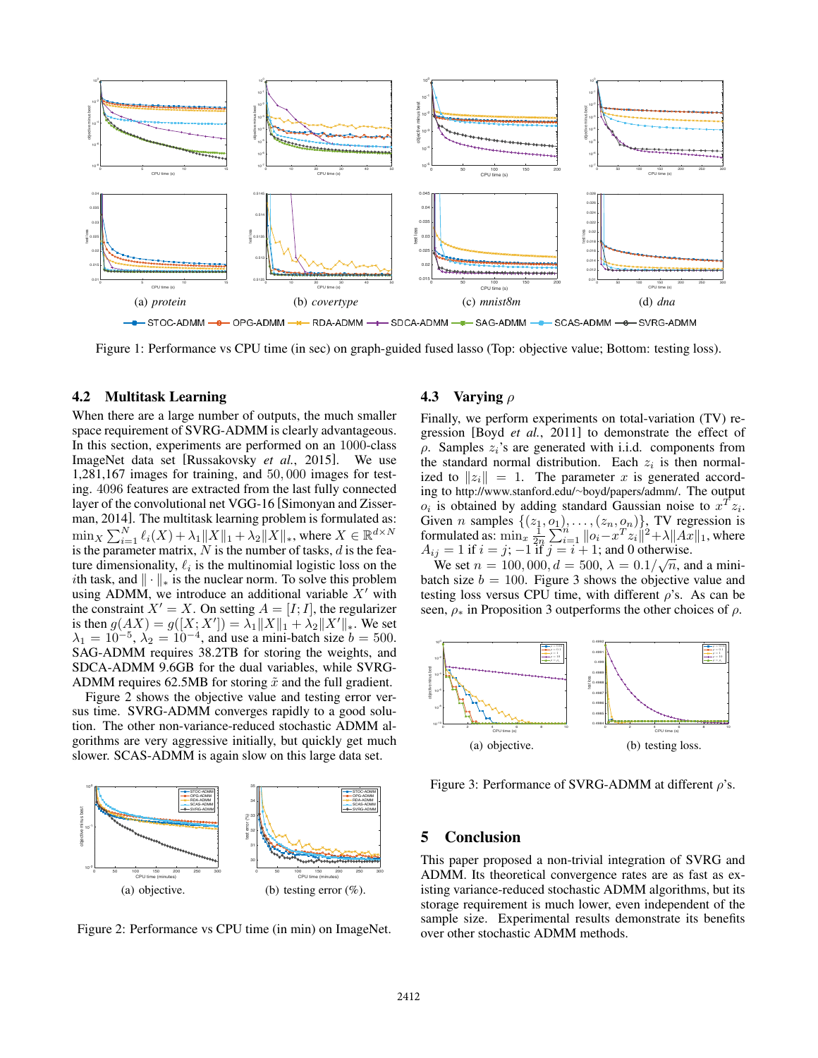

Figure 1: Performance vs CPU time (in sec) on graph-guided fused lasso (Top: objective value; Bottom: testing loss).

#### 4.2 Multitask Learning

When there are a large number of outputs, the much smaller space requirement of SVRG-ADMM is clearly advantageous. In this section, experiments are performed on an 1000-class ImageNet data set [Russakovsky *et al.*, 2015]. We use 1,281,167 images for training, and 50*,* 000 images for testing. 4096 features are extracted from the last fully connected layer of the convolutional net VGG-16 [Simonyan and Zisserman, 2014]. The multitask learning problem is formulated as:  $\min_{X} \sum_{i=1}^{N} \ell_i(X) + \lambda_1 ||X||_1 + \lambda_2 ||X||_*,$  where  $X \in \mathbb{R}^{d \times N}$ is the parameter matrix,  $\ddot{N}$  is the number of tasks,  $d$  is the feature dimensionality,  $\ell_i$  is the multinomial logistic loss on the *i*th task, and  $\|\cdot\|_*$  is the nuclear norm. To solve this problem using ADMM, we introduce an additional variable  $X'$  with the constraint  $X' = X$ . On setting  $A = [I; I]$ , the regularizer is then  $g(AX) = g([X; X']) = \lambda_1 ||X||_1 + \lambda_2 ||X'||_*$ . We set  $\lambda_1 = 10^{-5}$ ,  $\lambda_2 = 10^{-4}$ , and use a mini-batch size  $b = 500$ . SAG-ADMM requires 38.2TB for storing the weights, and SDCA-ADMM 9.6GB for the dual variables, while SVRG-ADMM requires 62.5MB for storing  $\tilde{x}$  and the full gradient.

Figure 2 shows the objective value and testing error versus time. SVRG-ADMM converges rapidly to a good solution. The other non-variance-reduced stochastic ADMM algorithms are very aggressive initially, but quickly get much slower. SCAS-ADMM is again slow on this large data set.



Figure 2: Performance vs CPU time (in min) on ImageNet.

#### 4.3 Varying  $\rho$

Finally, we perform experiments on total-variation (TV) regression [Boyd *et al.*, 2011] to demonstrate the effect of  $\rho$ . Samples  $z_i$ 's are generated with i.i.d. components from the standard normal distribution. Each  $z_i$  is then normalized to  $||z_i|| = 1$ . The parameter *x* is generated according to http://www.stanford.edu/~boyd/papers/admm/. The output  $o_i$  is obtained by adding standard Gaussian noise to  $x^T z_i$ . Given *n* samples  $\{(z_1, o_1), \ldots, (z_n, o_n)\}\)$ , TV regression is formulated as:  $\min_{x} \frac{1}{2n} \sum_{i=1}^{n} ||o_i - x^T z_i||^2 + \lambda ||Ax||_1$ , where  $A_{ij} = 1$  if  $i = j$ ;  $-1$  if  $j = i + 1$ ; and 0 otherwise.

We set  $n = 100,000, d = 500, \lambda = 0.1/\sqrt{n}$ , and a minibatch size  $b = 100$ . Figure 3 shows the objective value and testing loss versus CPU time, with different  $\rho$ 's. As can be seen,  $\rho_*$  in Proposition 3 outperforms the other choices of  $\rho$ .



Figure 3: Performance of SVRG-ADMM at different  $\rho$ 's.

# 5 Conclusion

This paper proposed a non-trivial integration of SVRG and ADMM. Its theoretical convergence rates are as fast as existing variance-reduced stochastic ADMM algorithms, but its storage requirement is much lower, even independent of the sample size. Experimental results demonstrate its benefits over other stochastic ADMM methods.